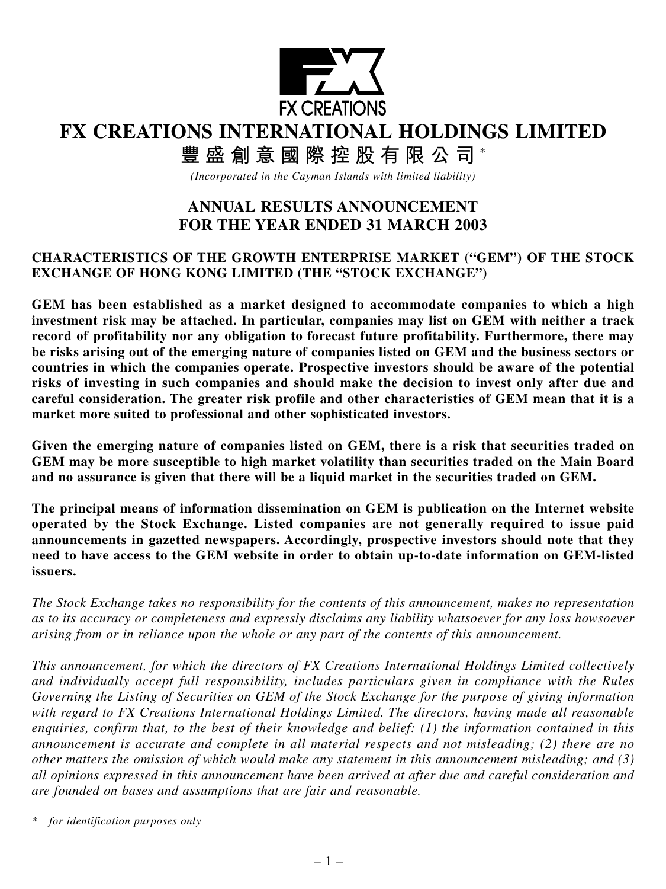

# **FX CREATIONS INTERNATIONAL HOLDINGS LIMITED**

**豐盛創意國際控股有限公司** \*

*(Incorporated in the Cayman Islands with limited liability)*

## **ANNUAL RESULTS ANNOUNCEMENT FOR THE YEAR ENDED 31 MARCH 2003**

## **CHARACTERISTICS OF THE GROWTH ENTERPRISE MARKET ("GEM") OF THE STOCK EXCHANGE OF HONG KONG LIMITED (THE "STOCK EXCHANGE")**

**GEM has been established as a market designed to accommodate companies to which a high investment risk may be attached. In particular, companies may list on GEM with neither a track record of profitability nor any obligation to forecast future profitability. Furthermore, there may be risks arising out of the emerging nature of companies listed on GEM and the business sectors or countries in which the companies operate. Prospective investors should be aware of the potential risks of investing in such companies and should make the decision to invest only after due and careful consideration. The greater risk profile and other characteristics of GEM mean that it is a market more suited to professional and other sophisticated investors.**

**Given the emerging nature of companies listed on GEM, there is a risk that securities traded on GEM may be more susceptible to high market volatility than securities traded on the Main Board and no assurance is given that there will be a liquid market in the securities traded on GEM.**

**The principal means of information dissemination on GEM is publication on the Internet website operated by the Stock Exchange. Listed companies are not generally required to issue paid announcements in gazetted newspapers. Accordingly, prospective investors should note that they need to have access to the GEM website in order to obtain up-to-date information on GEM-listed issuers.**

*The Stock Exchange takes no responsibility for the contents of this announcement, makes no representation as to its accuracy or completeness and expressly disclaims any liability whatsoever for any loss howsoever arising from or in reliance upon the whole or any part of the contents of this announcement.*

*This announcement, for which the directors of FX Creations International Holdings Limited collectively and individually accept full responsibility, includes particulars given in compliance with the Rules Governing the Listing of Securities on GEM of the Stock Exchange for the purpose of giving information with regard to FX Creations International Holdings Limited. The directors, having made all reasonable enquiries, confirm that, to the best of their knowledge and belief: (1) the information contained in this announcement is accurate and complete in all material respects and not misleading; (2) there are no other matters the omission of which would make any statement in this announcement misleading; and (3) all opinions expressed in this announcement have been arrived at after due and careful consideration and are founded on bases and assumptions that are fair and reasonable.*

*<sup>\*</sup> for identification purposes only*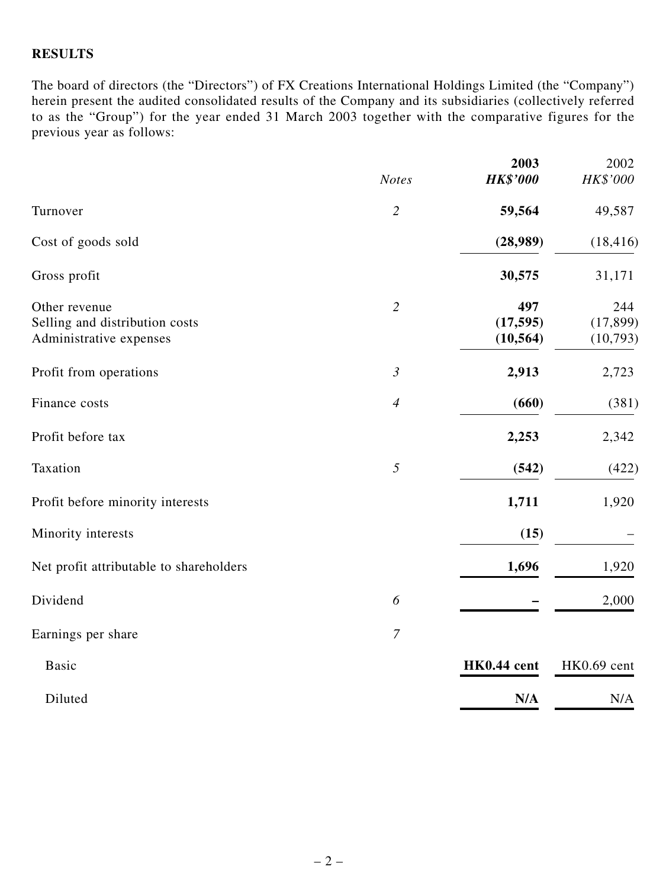#### **RESULTS**

The board of directors (the "Directors") of FX Creations International Holdings Limited (the "Company") herein present the audited consolidated results of the Company and its subsidiaries (collectively referred to as the "Group") for the year ended 31 March 2003 together with the comparative figures for the previous year as follows:

|                                                                            | <b>Notes</b>   | 2003<br><b>HK\$'000</b>       | 2002<br>HK\$'000             |
|----------------------------------------------------------------------------|----------------|-------------------------------|------------------------------|
| Turnover                                                                   | $\overline{2}$ | 59,564                        | 49,587                       |
| Cost of goods sold                                                         |                | (28,989)                      | (18, 416)                    |
| Gross profit                                                               |                | 30,575                        | 31,171                       |
| Other revenue<br>Selling and distribution costs<br>Administrative expenses | $\overline{2}$ | 497<br>(17, 595)<br>(10, 564) | 244<br>(17, 899)<br>(10,793) |
| Profit from operations                                                     | $\mathfrak{Z}$ | 2,913                         | 2,723                        |
| Finance costs                                                              | $\overline{4}$ | (660)                         | (381)                        |
| Profit before tax                                                          |                | 2,253                         | 2,342                        |
| Taxation                                                                   | 5              | (542)                         | (422)                        |
| Profit before minority interests                                           |                | 1,711                         | 1,920                        |
| Minority interests                                                         |                | (15)                          |                              |
| Net profit attributable to shareholders                                    |                | 1,696                         | 1,920                        |
| Dividend                                                                   | 6              |                               | 2,000                        |
| Earnings per share                                                         | $\overline{7}$ |                               |                              |
| <b>Basic</b>                                                               |                | HK0.44 cent                   | HK0.69 cent                  |
| Diluted                                                                    |                | N/A                           | N/A                          |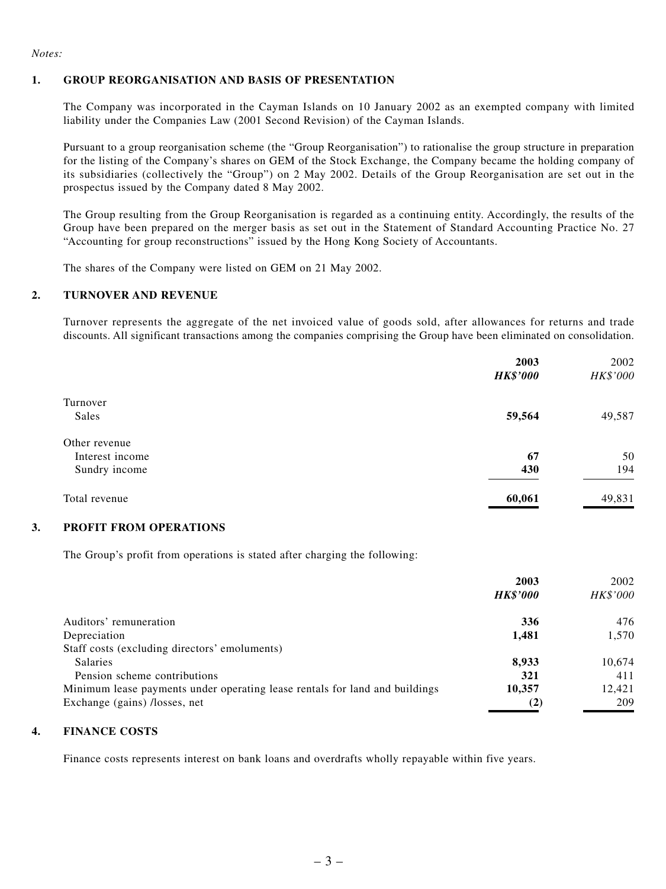#### *Notes:*

#### **1. GROUP REORGANISATION AND BASIS OF PRESENTATION**

The Company was incorporated in the Cayman Islands on 10 January 2002 as an exempted company with limited liability under the Companies Law (2001 Second Revision) of the Cayman Islands.

Pursuant to a group reorganisation scheme (the "Group Reorganisation") to rationalise the group structure in preparation for the listing of the Company's shares on GEM of the Stock Exchange, the Company became the holding company of its subsidiaries (collectively the "Group") on 2 May 2002. Details of the Group Reorganisation are set out in the prospectus issued by the Company dated 8 May 2002.

The Group resulting from the Group Reorganisation is regarded as a continuing entity. Accordingly, the results of the Group have been prepared on the merger basis as set out in the Statement of Standard Accounting Practice No. 27 "Accounting for group reconstructions" issued by the Hong Kong Society of Accountants.

The shares of the Company were listed on GEM on 21 May 2002.

#### **2. TURNOVER AND REVENUE**

Turnover represents the aggregate of the net invoiced value of goods sold, after allowances for returns and trade discounts. All significant transactions among the companies comprising the Group have been eliminated on consolidation.

|                 | 2003<br><b>HK\$'000</b> | 2002<br>HK\$'000 |
|-----------------|-------------------------|------------------|
|                 |                         |                  |
| Turnover        |                         |                  |
| Sales           | 59,564                  | 49,587           |
| Other revenue   |                         |                  |
| Interest income | 67                      | 50               |
| Sundry income   | 430                     | 194              |
| Total revenue   | 60,061                  | 49,831           |

#### **3. PROFIT FROM OPERATIONS**

The Group's profit from operations is stated after charging the following:

|                                                                             | 2003<br><b>HK\$'000</b> | 2002<br><i>HK\$'000</i> |
|-----------------------------------------------------------------------------|-------------------------|-------------------------|
| Auditors' remuneration                                                      | 336                     | 476                     |
| Depreciation                                                                | 1,481                   | 1,570                   |
| Staff costs (excluding directors' emoluments)                               |                         |                         |
| <b>Salaries</b>                                                             | 8.933                   | 10,674                  |
| Pension scheme contributions                                                | 321                     | 411                     |
| Minimum lease payments under operating lease rentals for land and buildings | 10,357                  | 12,421                  |
| Exchange (gains) /losses, net                                               | (2)                     | 209                     |

#### **4. FINANCE COSTS**

Finance costs represents interest on bank loans and overdrafts wholly repayable within five years.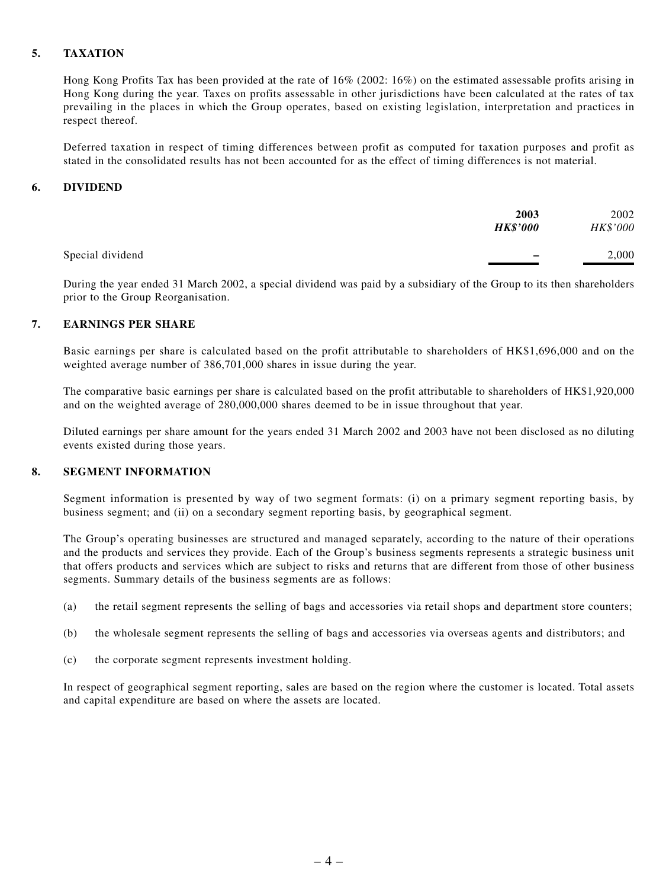#### **5. TAXATION**

Hong Kong Profits Tax has been provided at the rate of 16% (2002: 16%) on the estimated assessable profits arising in Hong Kong during the year. Taxes on profits assessable in other jurisdictions have been calculated at the rates of tax prevailing in the places in which the Group operates, based on existing legislation, interpretation and practices in respect thereof.

Deferred taxation in respect of timing differences between profit as computed for taxation purposes and profit as stated in the consolidated results has not been accounted for as the effect of timing differences is not material.

#### **6. DIVIDEND**

|                  | 2003<br><b>HK\$'000</b>  | 2002<br>HK\$'000 |
|------------------|--------------------------|------------------|
| Special dividend | $\overline{\phantom{a}}$ | 2,000            |

During the year ended 31 March 2002, a special dividend was paid by a subsidiary of the Group to its then shareholders prior to the Group Reorganisation.

#### **7. EARNINGS PER SHARE**

Basic earnings per share is calculated based on the profit attributable to shareholders of HK\$1,696,000 and on the weighted average number of 386,701,000 shares in issue during the year.

The comparative basic earnings per share is calculated based on the profit attributable to shareholders of HK\$1,920,000 and on the weighted average of 280,000,000 shares deemed to be in issue throughout that year.

Diluted earnings per share amount for the years ended 31 March 2002 and 2003 have not been disclosed as no diluting events existed during those years.

#### **8. SEGMENT INFORMATION**

Segment information is presented by way of two segment formats: (i) on a primary segment reporting basis, by business segment; and (ii) on a secondary segment reporting basis, by geographical segment.

The Group's operating businesses are structured and managed separately, according to the nature of their operations and the products and services they provide. Each of the Group's business segments represents a strategic business unit that offers products and services which are subject to risks and returns that are different from those of other business segments. Summary details of the business segments are as follows:

- (a) the retail segment represents the selling of bags and accessories via retail shops and department store counters;
- (b) the wholesale segment represents the selling of bags and accessories via overseas agents and distributors; and
- (c) the corporate segment represents investment holding.

In respect of geographical segment reporting, sales are based on the region where the customer is located. Total assets and capital expenditure are based on where the assets are located.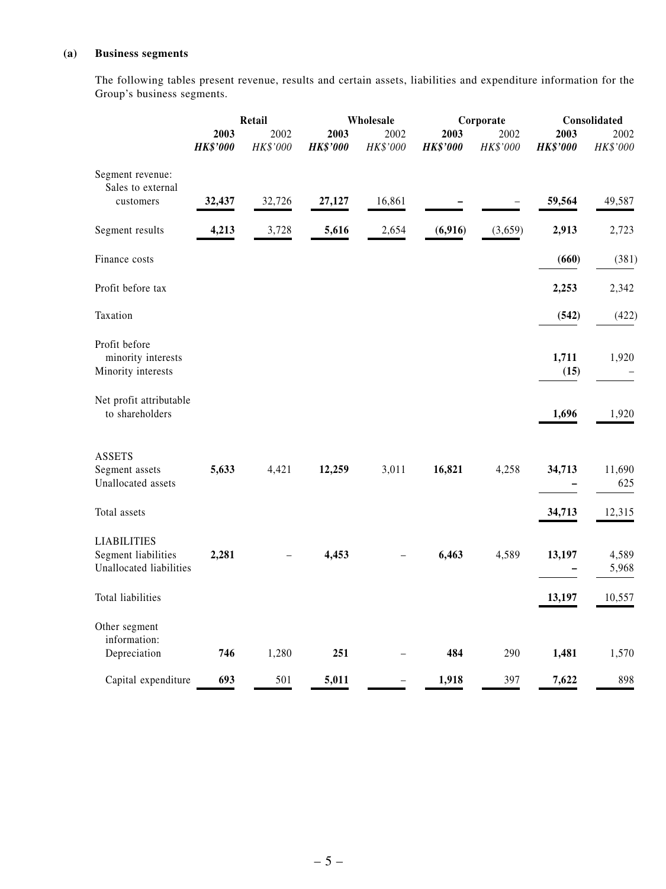#### **(a) Business segments**

The following tables present revenue, results and certain assets, liabilities and expenditure information for the Group's business segments.

|                                                                      |                         | Retail           | Wholesale               |                  |                         | Corporate        | Consolidated            |                  |  |
|----------------------------------------------------------------------|-------------------------|------------------|-------------------------|------------------|-------------------------|------------------|-------------------------|------------------|--|
|                                                                      | 2003<br><b>HK\$'000</b> | 2002<br>HK\$'000 | 2003<br><b>HK\$'000</b> | 2002<br>HK\$'000 | 2003<br><b>HK\$'000</b> | 2002<br>HK\$'000 | 2003<br><b>HK\$'000</b> | 2002<br>HK\$'000 |  |
| Segment revenue:<br>Sales to external<br>customers                   | 32,437                  | 32,726           | 27,127                  | 16,861           |                         |                  | 59,564                  | 49,587           |  |
|                                                                      |                         |                  |                         |                  |                         |                  |                         |                  |  |
| Segment results                                                      | 4,213                   | 3,728            | 5,616                   | 2,654            | (6,916)                 | (3,659)          | 2,913                   | 2,723            |  |
| Finance costs                                                        |                         |                  |                         |                  |                         |                  | (660)                   | (381)            |  |
| Profit before tax                                                    |                         |                  |                         |                  |                         |                  | 2,253                   | 2,342            |  |
| Taxation                                                             |                         |                  |                         |                  |                         |                  | (542)                   | (422)            |  |
| Profit before<br>minority interests<br>Minority interests            |                         |                  |                         |                  |                         |                  | 1,711<br>(15)           | 1,920            |  |
| Net profit attributable<br>to shareholders                           |                         |                  |                         |                  |                         |                  | 1,696                   | 1,920            |  |
| <b>ASSETS</b><br>Segment assets<br>Unallocated assets                | 5,633                   | 4,421            | 12,259                  | 3,011            | 16,821                  | 4,258            | 34,713                  | 11,690<br>625    |  |
| Total assets                                                         |                         |                  |                         |                  |                         |                  | 34,713                  | 12,315           |  |
| <b>LIABILITIES</b><br>Segment liabilities<br>Unallocated liabilities | 2,281                   |                  | 4,453                   |                  | 6,463                   | 4,589            | 13,197                  | 4,589<br>5,968   |  |
| Total liabilities                                                    |                         |                  |                         |                  |                         |                  | 13,197                  | 10,557           |  |
| Other segment<br>information:<br>Depreciation                        | 746                     | 1,280            | 251                     |                  | 484                     | 290              | 1,481                   | 1,570            |  |
| Capital expenditure                                                  | 693                     | 501              | 5,011                   |                  | 1,918                   | 397              | 7,622                   | 898              |  |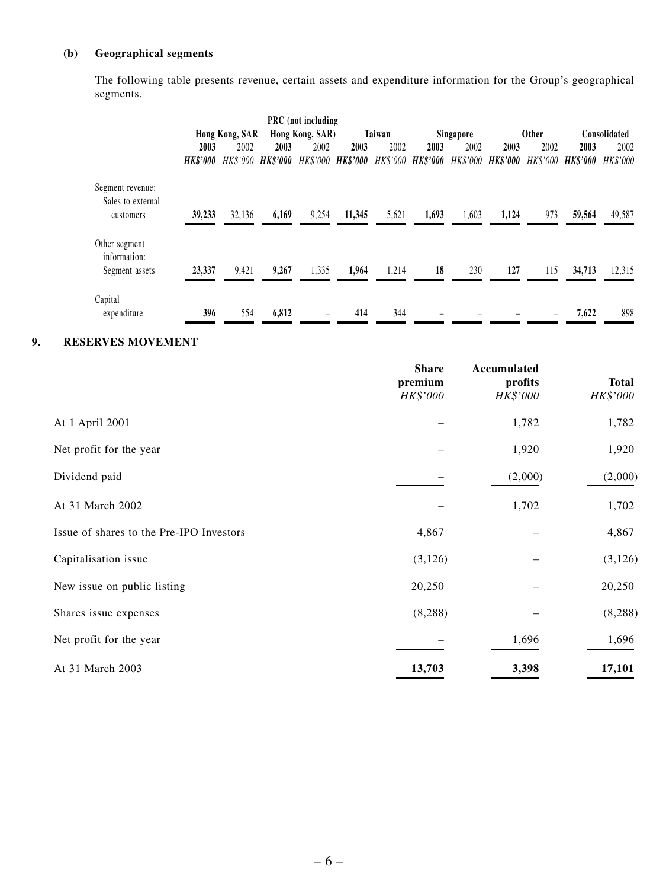## **(b) Geographical segments**

The following table presents revenue, certain assets and expenditure information for the Group's geographical segments.

|                               |                 |                   |       | <b>PRC</b> (not including |                   |        |                   |                  |                 |              |                        |              |
|-------------------------------|-----------------|-------------------|-------|---------------------------|-------------------|--------|-------------------|------------------|-----------------|--------------|------------------------|--------------|
|                               |                 | Hong Kong, SAR    |       | Hong Kong, SAR)           |                   | Taiwan |                   | <b>Singapore</b> |                 | <b>Other</b> |                        | Consolidated |
|                               | 2003            | 2002              | 2003  | 2002                      | 2003              | 2002   | 2003              | 2002             | 2003            | 2002         | 2003                   | 2002         |
|                               | <b>HK\$'000</b> | HK\$'000 HK\$'000 |       |                           | HK\$'000 HK\$'000 |        | HK\$'000 HK\$'000 | HK\$'000         | <b>HK\$'000</b> | HK\$'000     | <i><b>HK\$'000</b></i> | HK\$'000     |
| Segment revenue:              |                 |                   |       |                           |                   |        |                   |                  |                 |              |                        |              |
| Sales to external             |                 |                   |       |                           |                   |        |                   |                  |                 |              |                        |              |
| customers                     | 39,233          | 32,136            | 6,169 | 9,254                     | 11,345            | 5,621  | 1,693             | 1,603            | 1,124           | 973          | 59,564                 | 49,587       |
| Other segment<br>information: |                 |                   |       |                           |                   |        |                   |                  |                 |              |                        |              |
| Segment assets                | 23,337          | 9,421             | 9,267 | 1,335                     | 1,964             | 1,214  | 18                | 230              | 127             | 115          | 34,713                 | 12,315       |
| Capital                       |                 |                   |       |                           |                   |        |                   |                  |                 |              |                        |              |
| expenditure                   | 396             | 554               | 6,812 | -                         | 414               | 344    |                   |                  |                 |              | 7,622                  | 898          |

#### **9. RESERVES MOVEMENT**

|                                          | <b>Share</b><br>premium<br>HK\$'000 | Accumulated<br>profits<br>HK\$'000 | <b>Total</b><br>HK\$'000 |
|------------------------------------------|-------------------------------------|------------------------------------|--------------------------|
| At 1 April 2001                          |                                     | 1,782                              | 1,782                    |
| Net profit for the year                  |                                     | 1,920                              | 1,920                    |
| Dividend paid                            |                                     | (2,000)                            | (2,000)                  |
| At 31 March 2002                         |                                     | 1,702                              | 1,702                    |
| Issue of shares to the Pre-IPO Investors | 4,867                               |                                    | 4,867                    |
| Capitalisation issue                     | (3,126)                             |                                    | (3, 126)                 |
| New issue on public listing              | 20,250                              |                                    | 20,250                   |
| Shares issue expenses                    | (8, 288)                            |                                    | (8, 288)                 |
| Net profit for the year                  |                                     | 1,696                              | 1,696                    |
| At 31 March 2003                         | 13,703                              | 3,398                              | 17,101                   |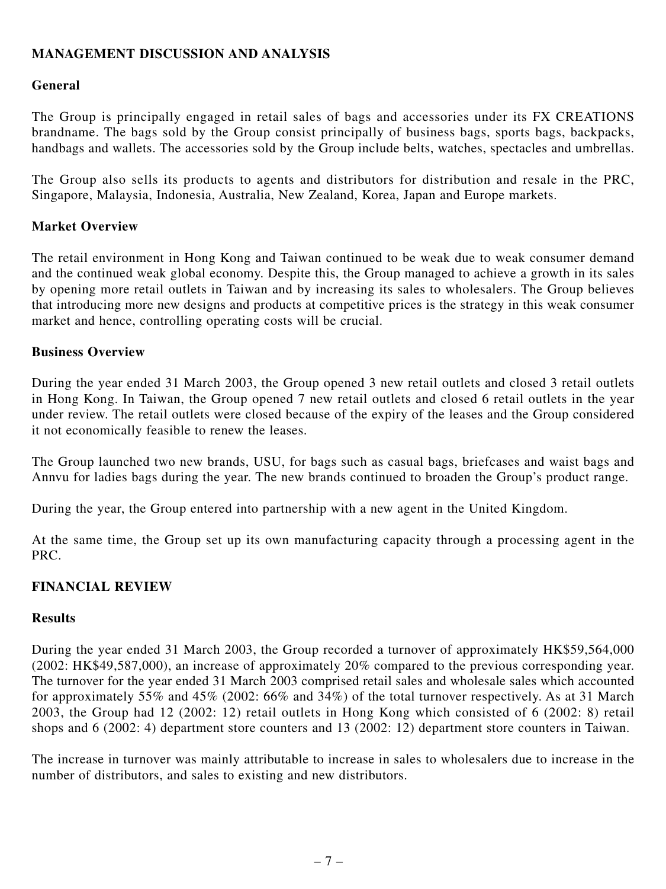## **MANAGEMENT DISCUSSION AND ANALYSIS**

## **General**

The Group is principally engaged in retail sales of bags and accessories under its FX CREATIONS brandname. The bags sold by the Group consist principally of business bags, sports bags, backpacks, handbags and wallets. The accessories sold by the Group include belts, watches, spectacles and umbrellas.

The Group also sells its products to agents and distributors for distribution and resale in the PRC, Singapore, Malaysia, Indonesia, Australia, New Zealand, Korea, Japan and Europe markets.

## **Market Overview**

The retail environment in Hong Kong and Taiwan continued to be weak due to weak consumer demand and the continued weak global economy. Despite this, the Group managed to achieve a growth in its sales by opening more retail outlets in Taiwan and by increasing its sales to wholesalers. The Group believes that introducing more new designs and products at competitive prices is the strategy in this weak consumer market and hence, controlling operating costs will be crucial.

#### **Business Overview**

During the year ended 31 March 2003, the Group opened 3 new retail outlets and closed 3 retail outlets in Hong Kong. In Taiwan, the Group opened 7 new retail outlets and closed 6 retail outlets in the year under review. The retail outlets were closed because of the expiry of the leases and the Group considered it not economically feasible to renew the leases.

The Group launched two new brands, USU, for bags such as casual bags, briefcases and waist bags and Annvu for ladies bags during the year. The new brands continued to broaden the Group's product range.

During the year, the Group entered into partnership with a new agent in the United Kingdom.

At the same time, the Group set up its own manufacturing capacity through a processing agent in the PRC.

## **FINANCIAL REVIEW**

#### **Results**

During the year ended 31 March 2003, the Group recorded a turnover of approximately HK\$59,564,000 (2002: HK\$49,587,000), an increase of approximately 20% compared to the previous corresponding year. The turnover for the year ended 31 March 2003 comprised retail sales and wholesale sales which accounted for approximately 55% and 45% (2002: 66% and 34%) of the total turnover respectively. As at 31 March 2003, the Group had 12 (2002: 12) retail outlets in Hong Kong which consisted of 6 (2002: 8) retail shops and 6 (2002: 4) department store counters and 13 (2002: 12) department store counters in Taiwan.

The increase in turnover was mainly attributable to increase in sales to wholesalers due to increase in the number of distributors, and sales to existing and new distributors.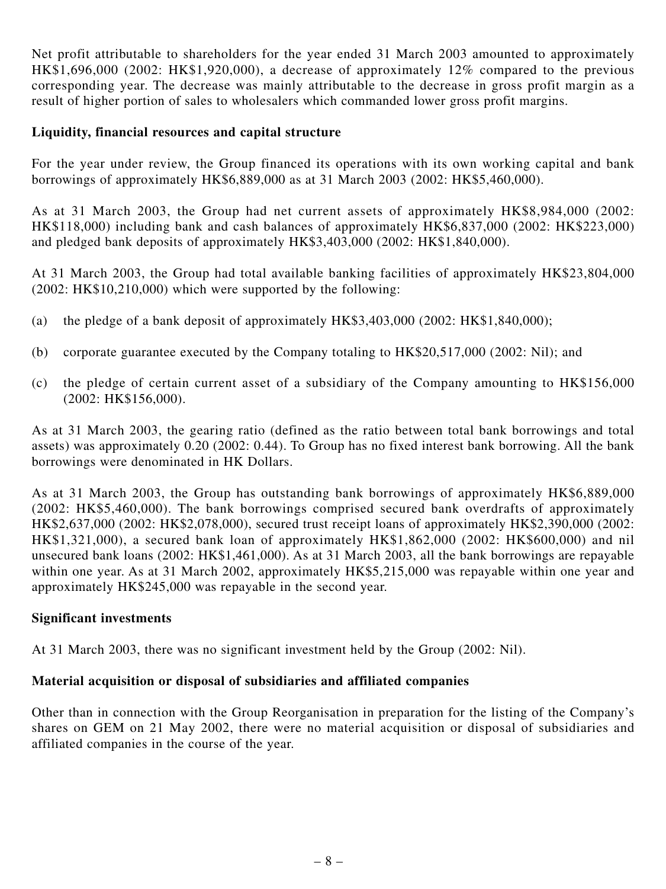Net profit attributable to shareholders for the year ended 31 March 2003 amounted to approximately HK\$1,696,000 (2002: HK\$1,920,000), a decrease of approximately 12% compared to the previous corresponding year. The decrease was mainly attributable to the decrease in gross profit margin as a result of higher portion of sales to wholesalers which commanded lower gross profit margins.

#### **Liquidity, financial resources and capital structure**

For the year under review, the Group financed its operations with its own working capital and bank borrowings of approximately HK\$6,889,000 as at 31 March 2003 (2002: HK\$5,460,000).

As at 31 March 2003, the Group had net current assets of approximately HK\$8,984,000 (2002: HK\$118,000) including bank and cash balances of approximately HK\$6,837,000 (2002: HK\$223,000) and pledged bank deposits of approximately HK\$3,403,000 (2002: HK\$1,840,000).

At 31 March 2003, the Group had total available banking facilities of approximately HK\$23,804,000 (2002: HK\$10,210,000) which were supported by the following:

- (a) the pledge of a bank deposit of approximately  $HK$3,403,000 (2002: HK$1,840,000);$
- (b) corporate guarantee executed by the Company totaling to HK\$20,517,000 (2002: Nil); and
- (c) the pledge of certain current asset of a subsidiary of the Company amounting to HK\$156,000 (2002: HK\$156,000).

As at 31 March 2003, the gearing ratio (defined as the ratio between total bank borrowings and total assets) was approximately 0.20 (2002: 0.44). To Group has no fixed interest bank borrowing. All the bank borrowings were denominated in HK Dollars.

As at 31 March 2003, the Group has outstanding bank borrowings of approximately HK\$6,889,000 (2002: HK\$5,460,000). The bank borrowings comprised secured bank overdrafts of approximately HK\$2,637,000 (2002: HK\$2,078,000), secured trust receipt loans of approximately HK\$2,390,000 (2002: HK\$1,321,000), a secured bank loan of approximately HK\$1,862,000 (2002: HK\$600,000) and nil unsecured bank loans (2002: HK\$1,461,000). As at 31 March 2003, all the bank borrowings are repayable within one year. As at 31 March 2002, approximately HK\$5,215,000 was repayable within one year and approximately HK\$245,000 was repayable in the second year.

## **Significant investments**

At 31 March 2003, there was no significant investment held by the Group (2002: Nil).

## **Material acquisition or disposal of subsidiaries and affiliated companies**

Other than in connection with the Group Reorganisation in preparation for the listing of the Company's shares on GEM on 21 May 2002, there were no material acquisition or disposal of subsidiaries and affiliated companies in the course of the year.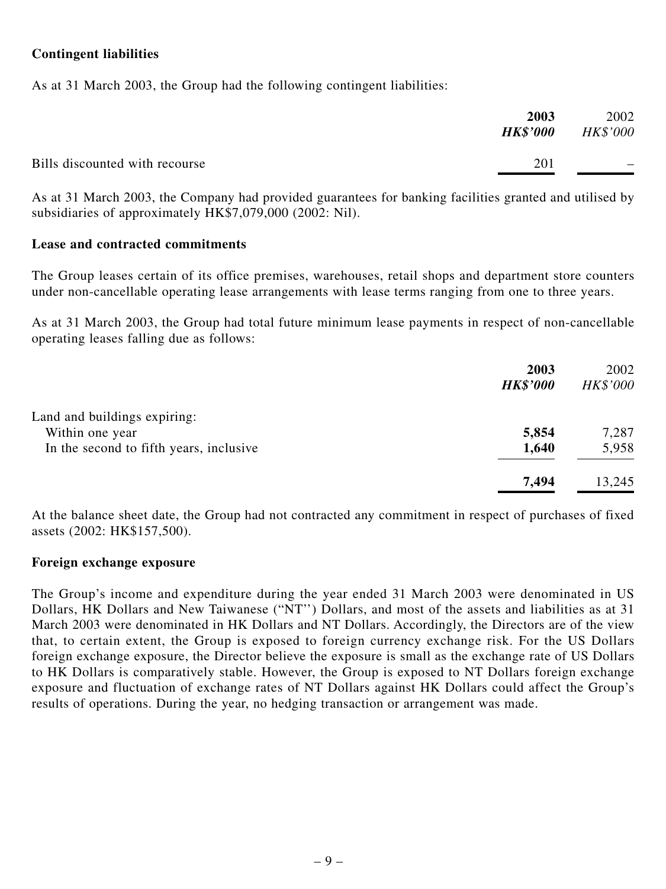## **Contingent liabilities**

As at 31 March 2003, the Group had the following contingent liabilities:

|                                | 2003<br><i><b>HK\$'000</b></i> | 2002<br><b>HK\$'000</b>  |
|--------------------------------|--------------------------------|--------------------------|
| Bills discounted with recourse | 201                            | $\overline{\phantom{0}}$ |

As at 31 March 2003, the Company had provided guarantees for banking facilities granted and utilised by subsidiaries of approximately HK\$7,079,000 (2002: Nil).

#### **Lease and contracted commitments**

The Group leases certain of its office premises, warehouses, retail shops and department store counters under non-cancellable operating lease arrangements with lease terms ranging from one to three years.

As at 31 March 2003, the Group had total future minimum lease payments in respect of non-cancellable operating leases falling due as follows:

|                                         | 2003<br><b>HK\$'000</b> | 2002<br>HK\$'000 |
|-----------------------------------------|-------------------------|------------------|
|                                         |                         |                  |
| Land and buildings expiring:            |                         |                  |
| Within one year                         | 5,854                   | 7,287            |
| In the second to fifth years, inclusive | 1,640                   | 5,958            |
|                                         | 7,494                   | 13,245           |

At the balance sheet date, the Group had not contracted any commitment in respect of purchases of fixed assets (2002: HK\$157,500).

#### **Foreign exchange exposure**

The Group's income and expenditure during the year ended 31 March 2003 were denominated in US Dollars, HK Dollars and New Taiwanese ("NT'') Dollars, and most of the assets and liabilities as at 31 March 2003 were denominated in HK Dollars and NT Dollars. Accordingly, the Directors are of the view that, to certain extent, the Group is exposed to foreign currency exchange risk. For the US Dollars foreign exchange exposure, the Director believe the exposure is small as the exchange rate of US Dollars to HK Dollars is comparatively stable. However, the Group is exposed to NT Dollars foreign exchange exposure and fluctuation of exchange rates of NT Dollars against HK Dollars could affect the Group's results of operations. During the year, no hedging transaction or arrangement was made.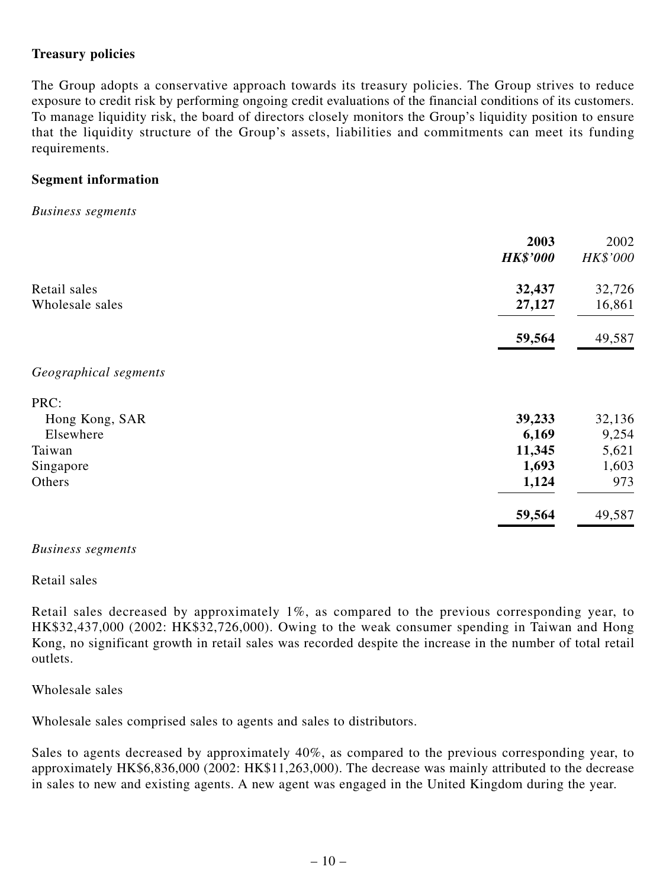## **Treasury policies**

The Group adopts a conservative approach towards its treasury policies. The Group strives to reduce exposure to credit risk by performing ongoing credit evaluations of the financial conditions of its customers. To manage liquidity risk, the board of directors closely monitors the Group's liquidity position to ensure that the liquidity structure of the Group's assets, liabilities and commitments can meet its funding requirements.

#### **Segment information**

#### *Business segments*

|                       | 2003            | 2002     |
|-----------------------|-----------------|----------|
|                       | <b>HK\$'000</b> | HK\$'000 |
| Retail sales          | 32,437          | 32,726   |
| Wholesale sales       | 27,127          | 16,861   |
|                       | 59,564          | 49,587   |
| Geographical segments |                 |          |
| PRC:                  |                 |          |
| Hong Kong, SAR        | 39,233          | 32,136   |
| Elsewhere             | 6,169           | 9,254    |
| Taiwan                | 11,345          | 5,621    |
| Singapore             | 1,693           | 1,603    |
| Others                | 1,124           | 973      |
|                       | 59,564          | 49,587   |

#### *Business segments*

#### Retail sales

Retail sales decreased by approximately 1%, as compared to the previous corresponding year, to HK\$32,437,000 (2002: HK\$32,726,000). Owing to the weak consumer spending in Taiwan and Hong Kong, no significant growth in retail sales was recorded despite the increase in the number of total retail outlets.

#### Wholesale sales

Wholesale sales comprised sales to agents and sales to distributors.

Sales to agents decreased by approximately 40%, as compared to the previous corresponding year, to approximately HK\$6,836,000 (2002: HK\$11,263,000). The decrease was mainly attributed to the decrease in sales to new and existing agents. A new agent was engaged in the United Kingdom during the year.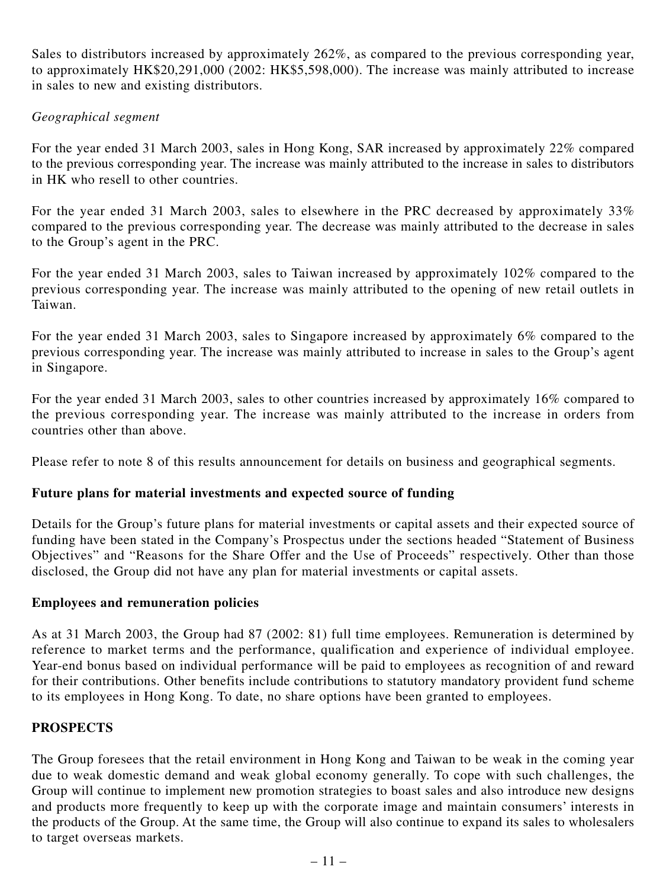Sales to distributors increased by approximately 262%, as compared to the previous corresponding year, to approximately HK\$20,291,000 (2002: HK\$5,598,000). The increase was mainly attributed to increase in sales to new and existing distributors.

## *Geographical segment*

For the year ended 31 March 2003, sales in Hong Kong, SAR increased by approximately 22% compared to the previous corresponding year. The increase was mainly attributed to the increase in sales to distributors in HK who resell to other countries.

For the year ended 31 March 2003, sales to elsewhere in the PRC decreased by approximately 33% compared to the previous corresponding year. The decrease was mainly attributed to the decrease in sales to the Group's agent in the PRC.

For the year ended 31 March 2003, sales to Taiwan increased by approximately 102% compared to the previous corresponding year. The increase was mainly attributed to the opening of new retail outlets in Taiwan.

For the year ended 31 March 2003, sales to Singapore increased by approximately 6% compared to the previous corresponding year. The increase was mainly attributed to increase in sales to the Group's agent in Singapore.

For the year ended 31 March 2003, sales to other countries increased by approximately 16% compared to the previous corresponding year. The increase was mainly attributed to the increase in orders from countries other than above.

Please refer to note 8 of this results announcement for details on business and geographical segments.

## **Future plans for material investments and expected source of funding**

Details for the Group's future plans for material investments or capital assets and their expected source of funding have been stated in the Company's Prospectus under the sections headed "Statement of Business Objectives" and "Reasons for the Share Offer and the Use of Proceeds" respectively. Other than those disclosed, the Group did not have any plan for material investments or capital assets.

## **Employees and remuneration policies**

As at 31 March 2003, the Group had 87 (2002: 81) full time employees. Remuneration is determined by reference to market terms and the performance, qualification and experience of individual employee. Year-end bonus based on individual performance will be paid to employees as recognition of and reward for their contributions. Other benefits include contributions to statutory mandatory provident fund scheme to its employees in Hong Kong. To date, no share options have been granted to employees.

## **PROSPECTS**

The Group foresees that the retail environment in Hong Kong and Taiwan to be weak in the coming year due to weak domestic demand and weak global economy generally. To cope with such challenges, the Group will continue to implement new promotion strategies to boast sales and also introduce new designs and products more frequently to keep up with the corporate image and maintain consumers' interests in the products of the Group. At the same time, the Group will also continue to expand its sales to wholesalers to target overseas markets.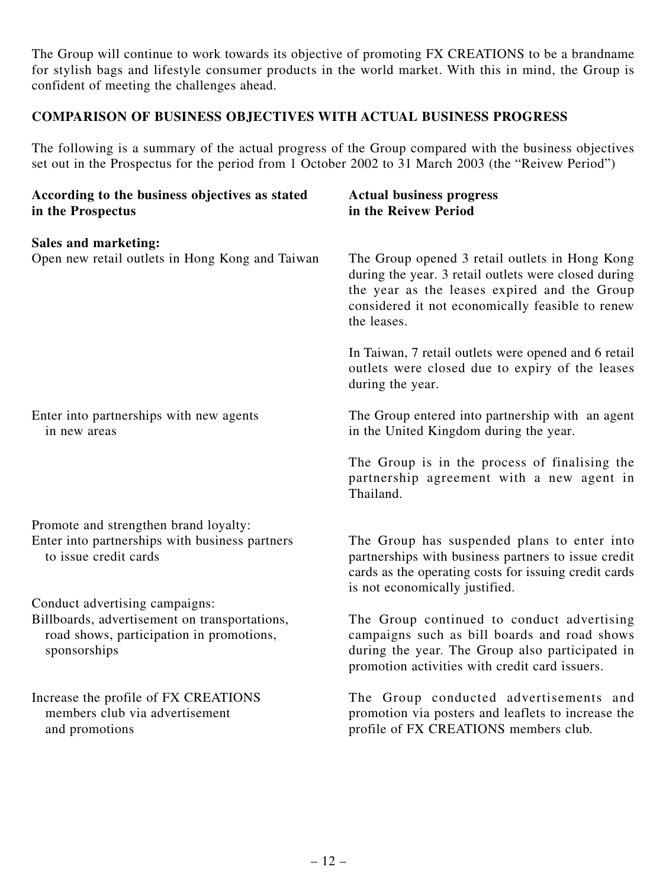The Group will continue to work towards its objective of promoting FX CREATIONS to be a brandname for stylish bags and lifestyle consumer products in the world market. With this in mind, the Group is confident of meeting the challenges ahead.

## **COMPARISON OF BUSINESS OBJECTIVES WITH ACTUAL BUSINESS PROGRESS**

The following is a summary of the actual progress of the Group compared with the business objectives set out in the Prospectus for the period from 1 October 2002 to 31 March 2003 (the "Reivew Period")

| According to the business objectives as stated<br>in the Prospectus                                                         | <b>Actual business progress</b><br>in the Reivew Period                                                                                                                                                                   |
|-----------------------------------------------------------------------------------------------------------------------------|---------------------------------------------------------------------------------------------------------------------------------------------------------------------------------------------------------------------------|
| <b>Sales and marketing:</b>                                                                                                 |                                                                                                                                                                                                                           |
| Open new retail outlets in Hong Kong and Taiwan                                                                             | The Group opened 3 retail outlets in Hong Kong<br>during the year. 3 retail outlets were closed during<br>the year as the leases expired and the Group<br>considered it not economically feasible to renew<br>the leases. |
|                                                                                                                             | In Taiwan, 7 retail outlets were opened and 6 retail<br>outlets were closed due to expiry of the leases<br>during the year.                                                                                               |
| Enter into partnerships with new agents<br>in new areas                                                                     | The Group entered into partnership with an agent<br>in the United Kingdom during the year.                                                                                                                                |
|                                                                                                                             | The Group is in the process of finalising the<br>partnership agreement with a new agent in<br>Thailand.                                                                                                                   |
| Promote and strengthen brand loyalty:                                                                                       |                                                                                                                                                                                                                           |
| Enter into partnerships with business partners<br>to issue credit cards                                                     | The Group has suspended plans to enter into<br>partnerships with business partners to issue credit<br>cards as the operating costs for issuing credit cards<br>is not economically justified.                             |
| Conduct advertising campaigns:<br>Billboards, advertisement on transportations,<br>road shows, participation in promotions, | The Group continued to conduct advertising<br>campaigns such as bill boards and road shows                                                                                                                                |
| sponsorships                                                                                                                | during the year. The Group also participated in<br>promotion activities with credit card issuers.                                                                                                                         |
| Increase the profile of FX CREATIONS<br>members club via advertisement<br>and promotions                                    | The Group conducted advertisements and<br>promotion via posters and leaflets to increase the<br>profile of FX CREATIONS members club.                                                                                     |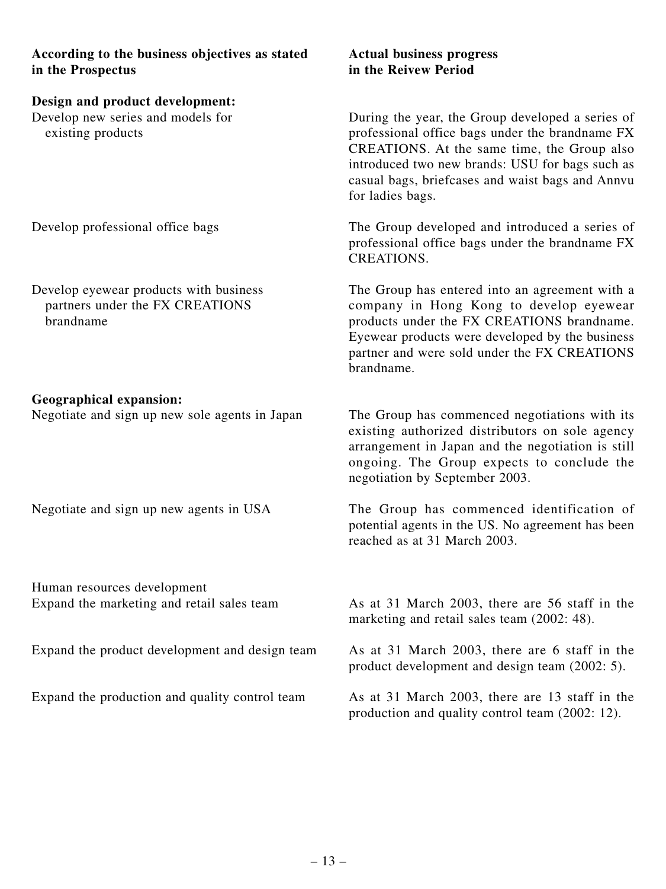**According to the business objectives as stated Actual business progress in the Prospectus in the Reivew Period**

#### **Design and product development:**

Develop new series and models for existing products

Develop professional office bags

Develop eyewear products with business partners under the FX CREATIONS brandname

#### **Geographical expansion:**

Negotiate and sign up new sole agents in Japan

Negotiate and sign up new agents in USA

Human resources development Expand the marketing and retail sales team

Expand the product development and design team

Expand the production and quality control team

During the year, the Group developed a series of professional office bags under the brandname FX CREATIONS. At the same time, the Group also introduced two new brands: USU for bags such as casual bags, briefcases and waist bags and Annvu for ladies bags.

The Group developed and introduced a series of professional office bags under the brandname FX CREATIONS.

The Group has entered into an agreement with a company in Hong Kong to develop eyewear products under the FX CREATIONS brandname. Eyewear products were developed by the business partner and were sold under the FX CREATIONS brandname.

The Group has commenced negotiations with its existing authorized distributors on sole agency arrangement in Japan and the negotiation is still ongoing. The Group expects to conclude the negotiation by September 2003.

The Group has commenced identification of potential agents in the US. No agreement has been reached as at 31 March 2003.

As at 31 March 2003, there are 56 staff in the marketing and retail sales team (2002: 48).

As at 31 March 2003, there are 6 staff in the product development and design team (2002: 5).

As at 31 March 2003, there are 13 staff in the production and quality control team (2002: 12).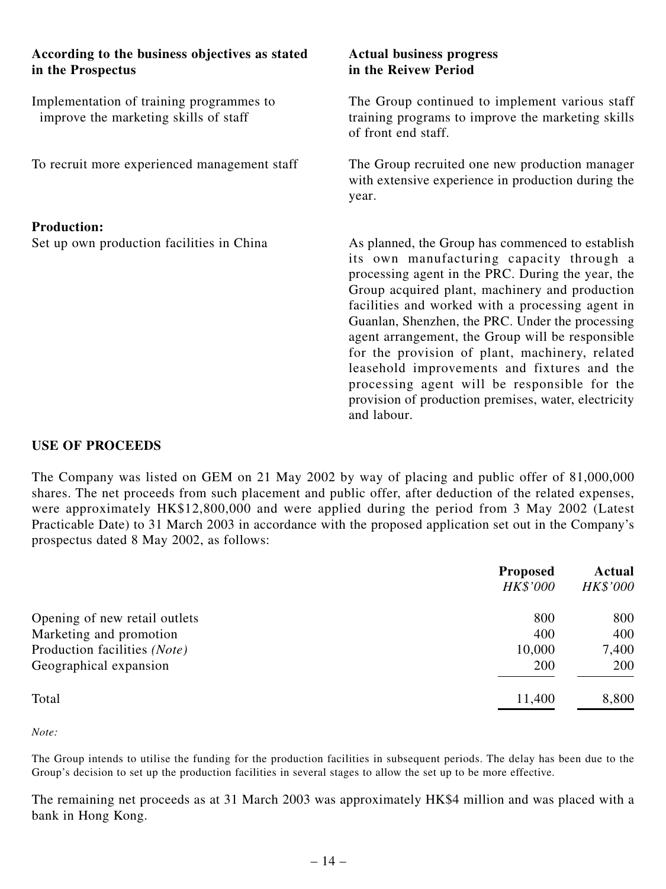| According to the business objectives as stated<br>in the Prospectus               | <b>Actual business progress</b><br>in the Reivew Period                                                                                                                                                                                                                                                                                                                                                                                                                                                                                                                                 |
|-----------------------------------------------------------------------------------|-----------------------------------------------------------------------------------------------------------------------------------------------------------------------------------------------------------------------------------------------------------------------------------------------------------------------------------------------------------------------------------------------------------------------------------------------------------------------------------------------------------------------------------------------------------------------------------------|
| Implementation of training programmes to<br>improve the marketing skills of staff | The Group continued to implement various staff<br>training programs to improve the marketing skills<br>of front end staff.                                                                                                                                                                                                                                                                                                                                                                                                                                                              |
| To recruit more experienced management staff                                      | The Group recruited one new production manager<br>with extensive experience in production during the<br>year.                                                                                                                                                                                                                                                                                                                                                                                                                                                                           |
| <b>Production:</b>                                                                |                                                                                                                                                                                                                                                                                                                                                                                                                                                                                                                                                                                         |
| Set up own production facilities in China                                         | As planned, the Group has commenced to establish<br>its own manufacturing capacity through a<br>processing agent in the PRC. During the year, the<br>Group acquired plant, machinery and production<br>facilities and worked with a processing agent in<br>Guanlan, Shenzhen, the PRC. Under the processing<br>agent arrangement, the Group will be responsible<br>for the provision of plant, machinery, related<br>leasehold improvements and fixtures and the<br>processing agent will be responsible for the<br>provision of production premises, water, electricity<br>and labour. |

#### **USE OF PROCEEDS**

The Company was listed on GEM on 21 May 2002 by way of placing and public offer of 81,000,000 shares. The net proceeds from such placement and public offer, after deduction of the related expenses, were approximately HK\$12,800,000 and were applied during the period from 3 May 2002 (Latest Practicable Date) to 31 March 2003 in accordance with the proposed application set out in the Company's prospectus dated 8 May 2002, as follows:

|                               | <b>Proposed</b><br>HK\$'000 | Actual<br>HK\$'000 |
|-------------------------------|-----------------------------|--------------------|
| Opening of new retail outlets | 800                         | 800                |
| Marketing and promotion       | 400                         | 400                |
| Production facilities (Note)  | 10,000                      | 7,400              |
| Geographical expansion        | 200                         | 200                |
| Total                         | 11,400                      | 8,800              |

*Note:*

The Group intends to utilise the funding for the production facilities in subsequent periods. The delay has been due to the Group's decision to set up the production facilities in several stages to allow the set up to be more effective.

The remaining net proceeds as at 31 March 2003 was approximately HK\$4 million and was placed with a bank in Hong Kong.